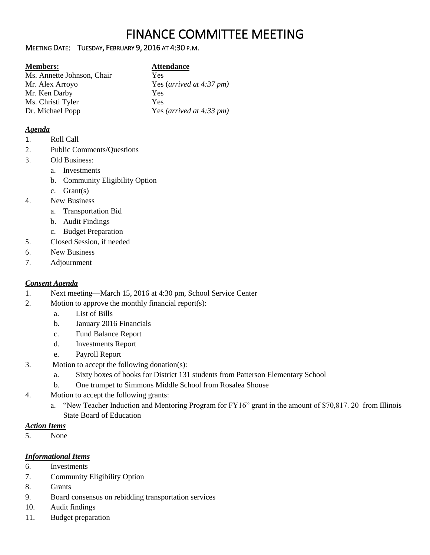# FINANCE COMMITTEE MEETING

### MEETING DATE: TUESDAY, FEBRUARY 9, 2016 AT 4:30 P.M.

## **Members: Attendance**

Ms. Annette Johnson, Chair Yes Mr. Alex Arroyo Yes (*arrived at 4:37 pm)* Mr. Ken Darby Yes Ms. Christi Tyler Yes Dr. Michael Popp Yes *(arrived at 4:33 pm)*

### *Agenda*

- 1. Roll Call
- 2. Public Comments/Questions
- 3. Old Business:
	- a. Investments
	- b. Community Eligibility Option
	- c. Grant(s)
- 4. New Business
	- a. Transportation Bid
	- b. Audit Findings
	- c. Budget Preparation
- 5. Closed Session, if needed
- 6. New Business
- 7. Adjournment

# *Consent Agenda*

- 1. Next meeting—March 15, 2016 at 4:30 pm, School Service Center
- 2. Motion to approve the monthly financial report(s):
	- a. List of Bills
	- b. January 2016 Financials
	- c. Fund Balance Report
	- d. Investments Report
	- e. Payroll Report
- 3. Motion to accept the following donation(s):
	- a. Sixty boxes of books for District 131 students from Patterson Elementary School
	- b. One trumpet to Simmons Middle School from Rosalea Shouse
- 4. Motion to accept the following grants:
	- a. "New Teacher Induction and Mentoring Program for FY16" grant in the amount of \$70,817. 20 from Illinois State Board of Education

# *Action Items*

5. None

#### *Informational Items*

- 6. Investments
- 7. Community Eligibility Option
- 8. Grants
- 9. Board consensus on rebidding transportation services
- 10. Audit findings
- 11. Budget preparation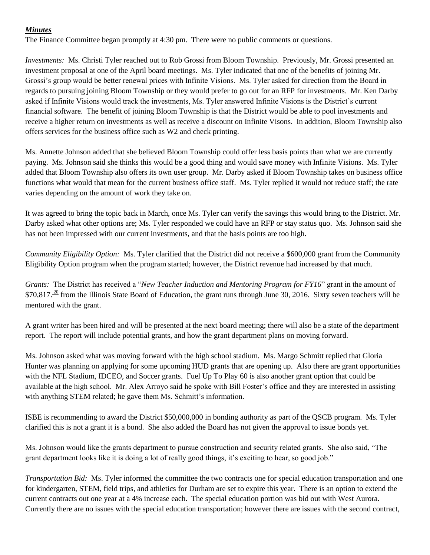#### *Minutes*

The Finance Committee began promptly at 4:30 pm. There were no public comments or questions.

*Investments:* Ms. Christi Tyler reached out to Rob Grossi from Bloom Township. Previously, Mr. Grossi presented an investment proposal at one of the April board meetings. Ms. Tyler indicated that one of the benefits of joining Mr. Grossi's group would be better renewal prices with Infinite Visions. Ms. Tyler asked for direction from the Board in regards to pursuing joining Bloom Township or they would prefer to go out for an RFP for investments. Mr. Ken Darby asked if Infinite Visions would track the investments, Ms. Tyler answered Infinite Visions is the District's current financial software. The benefit of joining Bloom Township is that the District would be able to pool investments and receive a higher return on investments as well as receive a discount on Infinite Visons. In addition, Bloom Township also offers services for the business office such as W2 and check printing.

Ms. Annette Johnson added that she believed Bloom Township could offer less basis points than what we are currently paying. Ms. Johnson said she thinks this would be a good thing and would save money with Infinite Visions. Ms. Tyler added that Bloom Township also offers its own user group. Mr. Darby asked if Bloom Township takes on business office functions what would that mean for the current business office staff. Ms. Tyler replied it would not reduce staff; the rate varies depending on the amount of work they take on.

It was agreed to bring the topic back in March, once Ms. Tyler can verify the savings this would bring to the District. Mr. Darby asked what other options are; Ms. Tyler responded we could have an RFP or stay status quo. Ms. Johnson said she has not been impressed with our current investments, and that the basis points are too high.

*Community Eligibility Option:* Ms. Tyler clarified that the District did not receive a \$600,000 grant from the Community Eligibility Option program when the program started; however, the District revenue had increased by that much.

*Grants:* The District has received a "*New Teacher Induction and Mentoring Program for FY16*" grant in the amount of  $$70,817<sup>20</sup>$  from the Illinois State Board of Education, the grant runs through June 30, 2016. Sixty seven teachers will be mentored with the grant.

A grant writer has been hired and will be presented at the next board meeting; there will also be a state of the department report. The report will include potential grants, and how the grant department plans on moving forward.

Ms. Johnson asked what was moving forward with the high school stadium. Ms. Margo Schmitt replied that Gloria Hunter was planning on applying for some upcoming HUD grants that are opening up. Also there are grant opportunities with the NFL Stadium, IDCEO, and Soccer grants. Fuel Up To Play 60 is also another grant option that could be available at the high school. Mr. Alex Arroyo said he spoke with Bill Foster's office and they are interested in assisting with anything STEM related; he gave them Ms. Schmitt's information.

ISBE is recommending to award the District \$50,000,000 in bonding authority as part of the QSCB program. Ms. Tyler clarified this is not a grant it is a bond. She also added the Board has not given the approval to issue bonds yet.

Ms. Johnson would like the grants department to pursue construction and security related grants. She also said, "The grant department looks like it is doing a lot of really good things, it's exciting to hear, so good job."

*Transportation Bid:* Ms. Tyler informed the committee the two contracts one for special education transportation and one for kindergarten, STEM, field trips, and athletics for Durham are set to expire this year. There is an option to extend the current contracts out one year at a 4% increase each. The special education portion was bid out with West Aurora. Currently there are no issues with the special education transportation; however there are issues with the second contract,